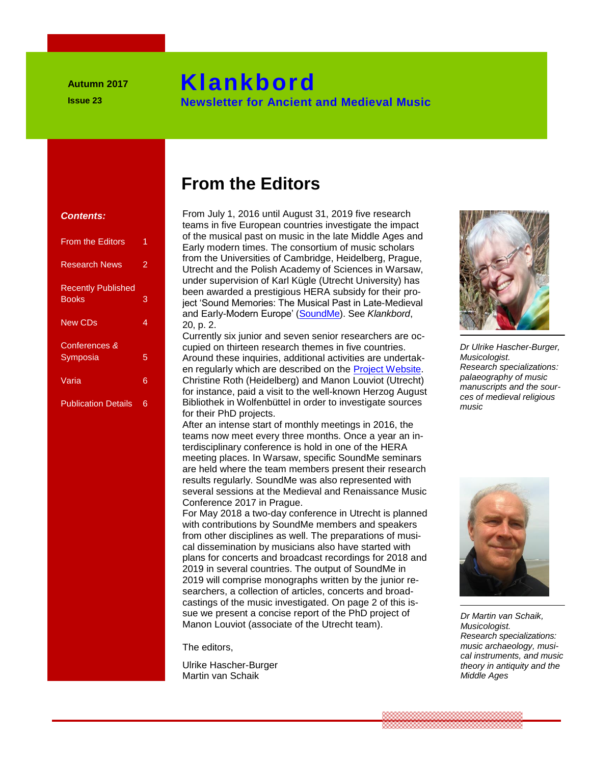# **Klankbord**

 **Newsletter for Ancient and Medieval Music**

#### **Contents:**

| <b>From the Editors</b>                   | 1 |
|-------------------------------------------|---|
| <b>Research News</b>                      | 2 |
| <b>Recently Published</b><br><b>Books</b> | 3 |
| <b>New CDs</b>                            | 4 |
| Conferences &<br>Symposia                 | 5 |
| Varia                                     | 6 |
| <b>Publication Details</b>                | 6 |

# **From the Editors**

 **Klankbord Community Community** 

From July 1, 2016 until August 31, 2019 five research **Contents:**<br> **Example 5 Editors in five European countries investigate the impact<br>
of the musical past on music in the late Middle Ages and<br>
<b>Cram the Editors and School School** School School School School School School Sc of the musical past on music in the late Middle Ages and **Early modern times. The consortium of music scholars Early modern times.** The consortium of music scholars from the Universities of Cambridge, Heidelberg, Prague, Utrecht and the Polish Academy of Sciences in Warsaw, Utrecht and the Polish Academy of Sciences in Warsaw,<br>under supervision of Karl Kügle (Utrecht University) has Recently Published been awarded a prestigious HERA subsidy for their pro-<br>Books 3 beet 'Sound Memories: The Musical Past in Late-Medieva ject 'Sound Memories: The Musical Past in Late-Medieval and Early-Modern Europe' (<u>SoundMe</u>). See *Klankbord*,<br>20, p. 2. 20, p. 2.  **New CDs** 4 20. p. 2.

Currently six junior and seven senior researchers are occupied on thirteen research themes in five countries. Symposia 5 Around these inquiries, additional activities are undertak-<br>en regularly which are described on the **Project Website**.<br>Varia 6 Christine Roth (Heidelberg) and Manon Louviot (Utrecht) Around these inquiries, additional activities are undertak-<br>en regularly which are described on the **Project Website**. Christine Roth (Heidelberg) and Manon Louviot (Utrecht) **for instance**, paid a visit to the well-known Herzog August **for Ancient and Medieval Music** Bibliothek in Wolfenbüttel in order to investigate sources for their PhD projects.

After an intense start of monthly meetings in 2016, the teams now meet every three months. Once a year an in-<br> **Exams now meet every three months.** Once a year an in-<br> **Exams now meet every three months.** Once a year an in-<br> **Exams now meet every three months.** Once a year an i terdisciplinary conference is hold in one of the HERA **Mark 2008 Meeting places. In Warsaw, specific SoundMe seminars and antieke antieke antieke antieke antieke antieke antieke antieke antieke antieke antieke antieke antieke antieke antieke antieke antieke antieke antieke an** are held where the team members present their research results regularly. SoundMe was also represented with several sessions at the Medieval and Renaissance Music Conference 2017 in Prague.<br>Fer May 2018 a two day copi

For May 2018 a two-day conference in Utrecht is planned with contributions by SoundMe members and speakers **from other disciplines as well. The preparations of musi**cal dissemination by musicians also have started with plans for concerts and broadcast recordings for 2018 and 2019 in several countries. The output of SoundMe in 2019 will comprise monographs written by the junior researchers, a collection of articles, concerts and broad-<br> **Searchers**, a collection of articles, concerts and broadcastings of the music investigated. On page 2 of this issue we present a concise report of the PhD project of the Nieuwsbrief voor antieke *en middeleeuwse muziek*e muziek<br>*Dr Middeleeuwse muziekale antieke we present a concise report of the PhD project of* Manon Louviot (associate of the Utrecht team). **1990 - Conference 2017 in Prague.<br>
For May 2018 a two-day conference in the same of the Sound Me member of the same of the same of the same of t<br>
With contributions by Sound Me membe** 

The editors,

Ulrike Hascher-Burger Martin van Schaik



*Dr Ulrike Hascher-Burger, Musicologist. Research specializations: palaeography of music manuscripts and the sources of medieval religious music*



*Dr Martin van Schaik, Musicologist. Research specializations: music archaeology, musical instruments, and music theory in antiquity and the Middle Ages*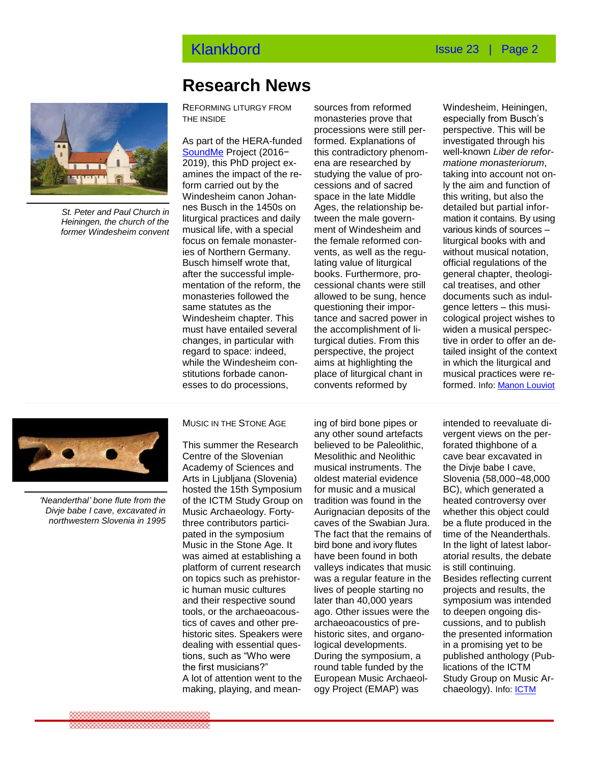

*St. Peter and Paul Church in Heiningen, the church of the former Windesheim convent*

## **Research News**

REFORMING LITURGY FROM THE INSIDE

**Form carried out by the cessions and of sacred** musical life, with a special coment of Windesheim and the special constant of the solo<br>focus on female monaster-che female reformed con-chem mentation of the reform, the must nave entalled several the accomplishment of il-<br>changes, in particular with turgical duties. From this t esses to do processions, convents reformed by the search of the search of the search of the search of the search <br>and the search of the search of the search of the search of the search of the search of the search of the se [SoundMe](http://www.soundme.eu/) Project (2016− 2019), this PhD project examines the impact of the re-Windesheim canon Johannes Busch in the 1450s on liturgical practices and daily musical life, with a special ies of Northern Germany. Busch himself wrote that, after the successful implemonasteries followed the same statutes as the Windesheim chapter. This must have entailed several regard to space: indeed, while the Windesheim constitutions forbade canon-

processions were still per-<br>As part of the HERA-funded formed. Explanations of i sources from reformed monasteries prove that processions were still performed. Explanations of this contradictory phenomena are researched by studying the value of processions and of sacred space in the late Middle Ages, the relationship between the male government of Windesheim and the female reformed convents, as well as the regulating value of liturgical books. Furthermore, processional chants were still allowed to be sung, hence questioning their importance and sacred power in the accomplishment of liturgical duties. From this perspective, the project aims at highlighting the place of liturgical chant in convents reformed by

Windesheim, Heiningen, especially from Busch's perspective. This will be investigated through his well-known *Liber de reformatione monasteriorum*, taking into account not only the aim and function of this writing, but also the detailed but partial information it contains. By using various kinds of sources – liturgical books with and without musical notation, official regulations of the general chapter, theological treatises, and other documents such as indulgence letters – this musicological project wishes to widen a musical perspective in order to offer an detailed insight of the context in which the liturgical and musical practices were reformed. Info: [Manon Louviot](mailto:m.louviot@uu.nl)



*'Neanderthal' bone flute from the Divje babe I cave, excavated in northwestern Slovenia in 1995*

MUSIC IN THE STONE AGE

This summer the Research Centre of the Slovenian Academy of Sciences and Arts in Ljubljana (Slovenia) hosted the 15th Symposium of the ICTM Study Group on Music Archaeology. Fortythree contributors participated in the symposium Music in the Stone Age. It was aimed at establishing a platform of current research on topics such as prehistoric human music cultures and their respective sound tools, or the archaeoacoustics of caves and other prehistoric sites. Speakers were dealing with essential questions, such as "Who were the first musicians?" A lot of attention went to the making, playing, and mean-

any other sound artefacts<br>This summer the Pesearch believed to be Paleolithic ing of bird bone pipes or believed to be Paleolithic, Mesolithic and Neolithic musical instruments. The oldest material evidence for music and a musical tradition was found in the Aurignacian deposits of the caves of the Swabian Jura. The fact that the remains of bird bone and ivory flutes have been found in both valleys indicates that music was a regular feature in the lives of people starting no later than 40,000 years ago. Other issues were the archaeoacoustics of prehistoric sites, and organological developments. During the symposium, a round table funded by the European Music Archaeology Project (EMAP) was

intended to reevaluate divergent views on the perforated thighbone of a cave bear excavated in the Divje babe I cave, Slovenia (58,000*−*48,000 BC), which generated a heated controversy over whether this object could be a flute produced in the time of the Neanderthals. In the light of latest laboratorial results, the debate is still continuing. Besides reflecting current projects and results, the symposium was intended to deepen ongoing discussions, and to publish the presented information in a promising yet to be published anthology (Publications of the ICTM Study Group on Music Archaeology). Info: **ICTM**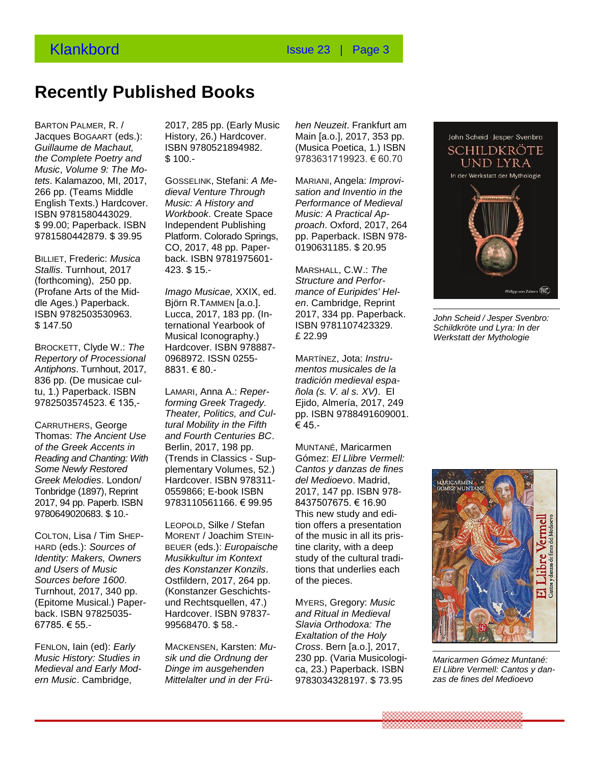## **Recently Published Books**

BARTON PALMER, R. / Jacques BOGAART (eds.): Jacques BogAART (eds.): History, 26.) Hardcover<br>*Guillaume de Machaut,* ISBN 9780521894982. *the Complete Poetry and Music*, *Volume 9: The Motets*. Kalamazoo, MI, 2017, 266 pp. (Teams Middle dieval Venture Through English Texts.) Hardcover. ISBN 9781580443029. \$ 99.00; Paperback. ISBN 9781580442879. \$ 39.95

BILLIET, Frederic: *Musica Stallis*. Turnhout, 2017 (forthcoming), 250 pp. (Profane Arts of the Mid-**Imago Musicae, XXII**<br>
The Asses Departments of Published Books dle Ages.) Paperback. ISBN 9782503530963. \$ 147.50

*Repertory of Processional Antiphons*. Turnhout, 2017, 836 pp. (De musicae cultu, 1.) Paperback. ISBN LAMARI, Anna A.: *Repe.*<br>0783503574599\_6.435 **forming Creek Tragedu** 9782503574523. € 135,-

CARRUTHERS, George Thomas: *The Ancient Use of the Greek Accents in Reading and Chanting: With Some Newly Restored Greek Melodies*. London/ Tonbridge (1897), Reprint 2017, 94 pp. Paperb. ISBN 9780649020683. \$ 10.- **Recent video Fourth Video India** Containers B<br>of the Greek Accents in Berlin, 2017, 198 pp.

COLTON, Lisa / Tim SHEP-HARD (eds.): *Sources of Identity: Makers, Owners and Users of Music Sources before 1600*. Turnhout, 2017, 340 pp. (Epitome Musical.) Paperback. ISBN 97825035- 67785. € 55.-

FENLON, Iain (ed): *Early Music History: Studies in Medieval and Early Modern Music*. Cambridge,

2017, 285 pp. (Early Music History, 26.) Hardcover. ISBN 9780521894982.  $$100. -$ 

**Recent verschenen boeken**  CO, 2017, 48 pp. Paper-GOSSELINK, Stefani: *A Medieval Venture Through Music: A History and Workbook*. Create Space Independent Publishing Platform. Colorado Springs, back. ISBN 9781975601- 423. \$ 15.-

wusical Iconograpny.)<br>BROCKETT, Clyde W.: *The* Hardcover. ISBN 97888 *Imago Musicae,* XXIX, ed. Björn R.TAMMEN [a.o.]. Lucca, 2017, 183 pp. (International Yearbook of Musical Iconography.) Hardcover. ISBN 978887- 0968972. ISSN 0255- 8831. € 80.-

> LAMARI, Anna A.: *Reperforming Greek Tragedy. Theater, Politics, and Cultural Mobility in the Fifth and Fourth Centuries BC*. (Trends in Classics - Supplementary Volumes, 52.) Hardcover. ISBN 978311- 0559866; E-book ISBN 9783110561166. € 99.95

> LEOPOLD, Silke / Stefan MORENT / Joachim STEIN-BEUER (eds.): *Europaische Musikkultur im Kontext des Konstanzer Konzils*. Ostfildern, 2017, 264 pp. (Konstanzer Geschichtsund Rechtsquellen, 47.) Hardcover. ISBN 97837- 99568470. \$ 58.-

MACKENSEN, Karsten: *Musik und die Ordnung der Dinge im ausgehenden Mittelalter und in der Frü-* *hen Neuzeit*. Frankfurt am Main [a.o.], 2017, 353 pp. (Musica Poetica, 1.) ISBN 9783631719923. € 60.70

MARIANI, Angela: *Improvisation and Inventio in the Performance of Medieval Music: A Practical Approach*. Oxford, 2017, 264 pp. Paperback. ISBN 978- 0190631185. \$ 20.95

MARSHALL, C.W.: *The Structure and Performance of Euripides' Helen*. Cambridge, Reprint 2017, 334 pp. Paperback. ISBN 9781107423329. £ 22.99

MARTÍNEZ, Jota: *Instrumentos musicales de la tradición medieval española (s. V. al s. XV)*. El Ejido, Almería, 2017, 249 pp. ISBN 9788491609001. € 45.-

MUNTANÉ, Maricarmen Gómez: *El Llibre Vermell: Cantos y danzas de fines del Medioevo*. Madrid, 2017, 147 pp. ISBN 978- 8437507675. € 16.90 This new study and edition offers a presentation of the music in all its pristine clarity, with a deep study of the cultural traditions that underlies each of the pieces.

MYERS, Gregory: *Music and Ritual in Medieval Slavia Orthodoxa: The Exaltation of the Holy Cross*. Bern [a.o.], 2017, 230 pp. (Varia Musicologica, 23.) Paperback. ISBN 9783034328197. \$ 73.95



*John Scheid / Jesper Svenbro: Schildkröte und Lyra: In der Werkstatt der Mythologie*



*Maricarmen Gómez Muntané: El Llibre Vermell: Cantos y danzas de fines del Medioevo*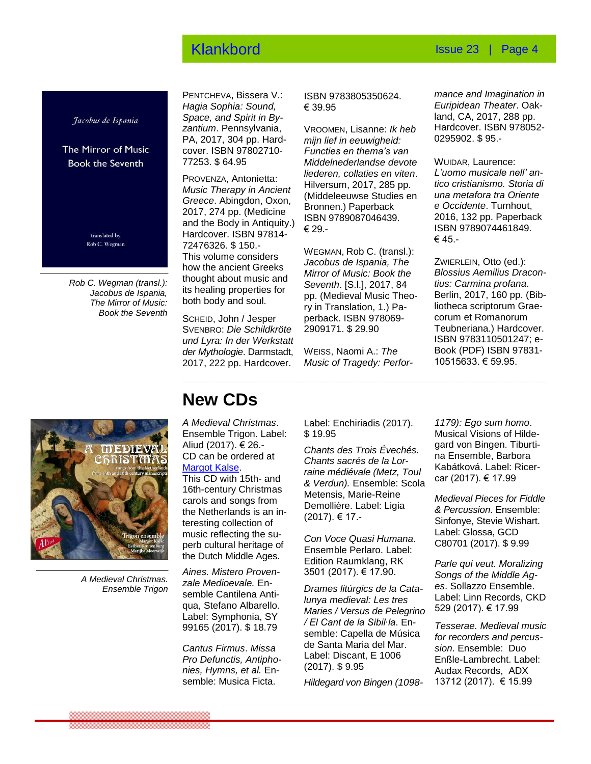#### **Klankbord Issue 23** | Page 4

Jacobus de Ispania

The Mirror of Music **Book the Seventh** 

> translated by Rob C. Wegman

*Rob C. Wegman (transl.): Jacobus de Ispania, The Mirror of Music: Book the Seventh*

PENTCHEVA, Bissera V.: *Hagia Sophia: Sound, Space, and Spirit in Byzantium*. Pennsylvania, PA, 2017, 304 pp. Hardcover. ISBN 97802710- 77253. \$ 64.95

PROVENZA, Antonietta: *Music Therapy in Ancient Greece*. Abingdon, Oxon, 2017, 274 pp. (Medicine and the Body in Antiquity.) Hardcover. ISBN 97814- 72476326. \$ 150.- This volume considers how the ancient Greeks thought about music and its healing properties for both body and soul.

SCHEID, John / Jesper SVENBRO: *Die Schildkröte und Lyra: In der Werkstatt der Mythologie*. Darmstadt, 2017, 222 pp. Hardcover.

ISBN 9783805350624. € 39.95

VROOMEN, Lisanne: *Ik heb mijn lief in eeuwigheid: Functies en thema's van Middelnederlandse devote liederen, collaties en viten*. Hilversum, 2017, 285 pp. (Middeleeuwse Studies en Bronnen.) Paperback ISBN 9789087046439. € 29.-

WEGMAN, Rob C. (transl.): *Jacobus de Ispania, The Mirror of Music: Book the Seventh*. [S.l.], 2017, 84 pp. (Medieval Music Theory in Translation, 1.) Paperback. ISBN 978069- 2909171. \$ 29.90

WEISS, Naomi A.: *The Music of Tragedy: Perfor-*

*mance and Imagination in Euripidean Theater*. Oakland, CA, 2017, 288 pp. Hardcover. ISBN 978052- 0295902. \$ 95.-

WUIDAR, Laurence: *L'uomo musicale nell' antico cristianismo. Storia di una metafora tra Oriente e Occidente*. Turnhout, 2016, 132 pp. Paperback ISBN 9789074461849. € 45.-

ZWIERLEIN, Otto (ed.): *Blossius Aemilius Dracontius: Carmina profana*. Berlin, 2017, 160 pp. (Bibliotheca scriptorum Graecorum et Romanorum Teubneriana.) Hardcover. ISBN 9783110501247; e-Book (PDF) ISBN 97831- 10515633. € 59.95.



 *A Medieval Christmas. Ensemble Trigon*

## **New CDs**

*A Medieval Christmas*. Ensemble Trigon. Label:<br>Aliud (2017) € 26 -Aliud (2017). € 26.- CD can be ordered at [Margot Kalse.](mailto:margot-kalsevocaal@gmail.com)

<u>wargot Raise</u>.<br>This CD with 15th- and 16th-century Christmas carols and songs from the Netherlands is an in-<br>teresting collection of teresting collection of music reflecting the superb cultural heritage of perb cultural riefflage o<br>the Dutch Middle Ages.

*Aines. Mistero Provenzale Medioevale.* Enz*ale Illeuloevale.*<br>semble Cantilena Antiqua, Stefano Albarello. Label: Symphonia, SY 99165 (2017). \$ 18.79 **Nieuwe CD's** 

*Cantus Firmus*. *Missa Pro Defunctis, Antiphonie Defunctis, Antiprio-*<br>*nies, Hymns, et al.* Ensemble: Musica Ficta.

Label: Enchiriadis (2017). \$ 19.95

*Chants des Trois Évechés. Chants sacrés de la Lorraine médiévale (Metz, Toul & Verdun).* Ensemble: Scola Metensis, Marie-Reine Demollière. Label: Ligia (2017). € 17.-

*Con Voce Quasi Humana*. Ensemble Perlaro. Label: Edition Raumklang, RK 3501 (2017). € 17.90.

*Drames litúrgics de la Catalunya medieval: Les tres Maries / Versus de Pelegrino / El Cant de la Sibil∙la*. Ensemble: Capella de Música de Santa Maria del Mar. Label: Discant, E 1006 (2017). \$ 9.95

*Hildegard von Bingen (1098-*

*1179): Ego sum homo*. Musical Visions of Hildegard von Bingen. Tiburtina Ensemble, Barbora Kabátková. Label: Ricercar (2017). € 17.99

*Medieval Pieces for Fiddle & Percussion*. Ensemble: Sinfonye, Stevie Wishart. Label: Glossa, GCD C80701 (2017). \$ 9.99

*Parle qui veut. Moralizing Songs of the Middle Ages*. Sollazzo Ensemble. Label: Linn Records, CKD 529 (2017). € 17.99

*Tesserae. Medieval music for recorders and percussion*. Ensemble: Duo Enßle-Lambrecht. Label: Audax Records, ADX 13712 (2017). € 15.99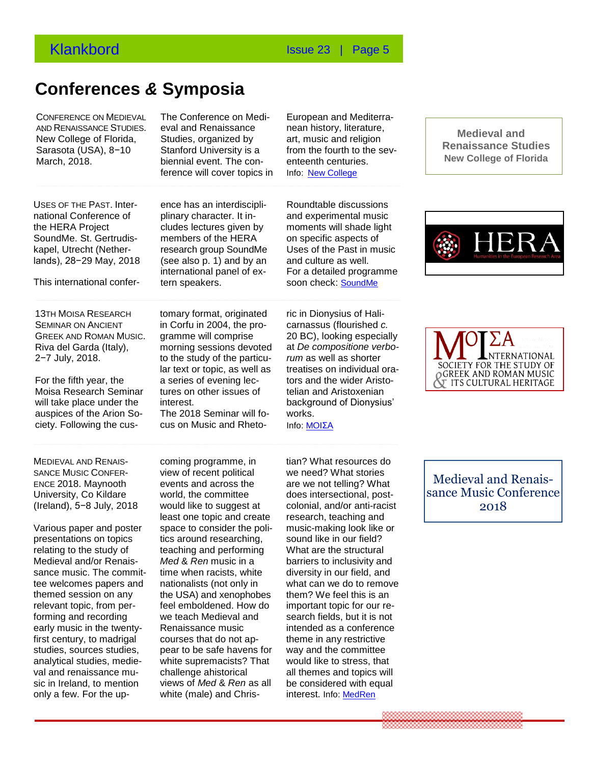### **Conferences** *&* **Symposia**

**Conferences & Symposia**  lar text or topic, as well as

interest.

auspices of the Arion So-<br> **Congress of the Arion So-**<br> **Congress Arion So-**

 . AND RENAISSANCE STUDIES. CONFERENCE ON MEDIEVAL New College of Florida, Studies, organized [Sarasota](https://10times.com/sarasota-us/conferences) [\(USA](https://10times.com/usa/conferences)), 8−10 March, 2018.

The Conference on Medieval and Renaissance Studies, organized by Stanford University is a biennial event. The conference will cover topics in

European and Mediterranean history, literature, art, music and religion from the fourth to the seventeenth centuries. Info: [New College](http://www.newcollegeconference.org/home)

**COLD OF THE FAST, THICK CONGRESS OF THE FAST, THICK** CHEC H2S 211 INCREDI USES OF THE PAST. Interthe HERA Project SoundMe. St. Gertrudiskapel, Utrecht (Netherlands), 28−29 May, 2018

13TH MOISA RESEARCH SEMINAR ON ANCIENT GREEK AND ROMAN MUSIC. Riva del Garda (Italy), 2−7 July, 2018.

For the fifth year, the Moisa Research Seminar will take place under the

This international confer-<br> **Conferrent in Sepakers**<br> **Conferrent in Sepakers** ence has an interdiscipliplinary character. It includes lectures given by members of the HERA research group SoundMe (see also p. 1) and by an international panel of extern speakers.

> tomary format, originated in Corfu in 2004, the programme will comprise morning sessions devoted to the study of the particu-

a series of evening lectures on other issues of

The 2018 Seminar will focus on Music and RhetoRoundtable discussions and experimental music moments will shade light on specific aspects of Uses of the Past in music and culture as well. For a detailed programme soon check: [SoundMe](http://www.soundme.eu/)

ric in Dionysius of Halicarnassus (flourished *c.* 20 BC), looking especially at *De compositione verborum* as well as shorter treatises on individual orators and the wider Aristotelian and Aristoxenian background of Dionysius' works. Info: [MOIΣA](http://moisasociety.org/sites/default/files/seminar_2018_announcement.pdf)

**Congressen & symposia**  University, Co Kildare MEDIEVAL AND RENAIS-SANCE MUSIC CONFER-ENCE 2018. Maynooth (Ireland), 5−8 July, 2018

ciety. Following the cus-

Medieval and/or Renais- *Med* & *Ren* music ir<br>sance music. The commit- time when racists, v Various paper and poster presentations on topics relating to the study of Medieval and/or Renaistee welcomes papers and themed session on any relevant topic, from performing and recording early music in the twentyfirst century, to madrigal studies, sources studies, analytical studies, medieval and renaissance music in Ireland, to mention only a few. For the up-

coming programme, in view of recent political events and across the world, the committee would like to suggest at least one topic and create space to consider the politics around researching, teaching and performing *Med* & *Ren* music in a time when racists, white nationalists (not only in the USA) and xenophobes feel emboldened. How do we teach Medieval and Renaissance music courses that do not appear to be safe havens for white supremacists? That challenge ahistorical views of *Med* & *Ren* as all white (male) and Chris-

tian? What resources do we need? What stories are we not telling? What does intersectional, postcolonial, and/or anti-racist research, teaching and music-making look like or sound like in our field? What are the structural barriers to inclusivity and diversity in our field, and what can we do to remove them? We feel this is an important topic for our research fields, but it is not intended as a conference theme in any restrictive way and the committee would like to stress, that all themes and topics will be considered with equal interest. Info: [MedRen](https://www.maynoothuniversity.ie/news-events/call-papers-medieval-and-renaissance-music-conference-medren-2018)

 **Medieval and Renaissance Studies New College of Florida**





Medieval and Renaissance Music Conference 2018